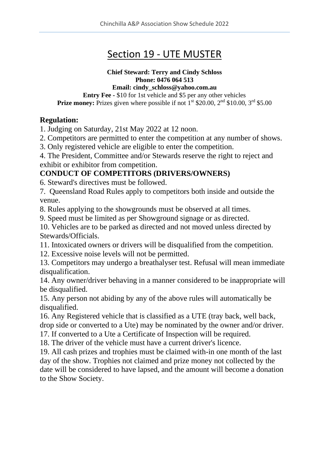# Section 19 - UTE MUSTER

# **Chief Steward: Terry and Cindy Schloss Phone: 0476 064 513**

**Email: cindy\_schloss@yahoo.com.au**

**Entry Fee -** \$10 for 1st vehicle and \$5 per any other vehicles **Prize money:** Prizes given where possible if not 1<sup>st</sup> \$20.00, 2<sup>nd</sup> \$10.00, 3<sup>rd</sup> \$5.00

# **Regulation:**

1. Judging on Saturday, 21st May 2022 at 12 noon.

2. Competitors are permitted to enter the competition at any number of shows.

3. Only registered vehicle are eligible to enter the competition.

4. The President, Committee and/or Stewards reserve the right to reject and exhibit or exhibitor from competition.

# **CONDUCT OF COMPETITORS (DRIVERS/OWNERS)**

6. Steward's directives must be followed.

7. Queensland Road Rules apply to competitors both inside and outside the venue.

8. Rules applying to the showgrounds must be observed at all times.

9. Speed must be limited as per Showground signage or as directed.

10. Vehicles are to be parked as directed and not moved unless directed by Stewards/Officials.

11. Intoxicated owners or drivers will be disqualified from the competition.

12. Excessive noise levels will not be permitted.

13. Competitors may undergo a breathalyser test. Refusal will mean immediate disqualification.

14. Any owner/driver behaving in a manner considered to be inappropriate will be disqualified.

15. Any person not abiding by any of the above rules will automatically be disqualified.

16. Any Registered vehicle that is classified as a UTE (tray back, well back, drop side or converted to a Ute) may be nominated by the owner and/or driver.

17. If converted to a Ute a Certificate of Inspection will be required.

18. The driver of the vehicle must have a current driver's licence.

19. All cash prizes and trophies must be claimed with-in one month of the last day of the show. Trophies not claimed and prize money not collected by the date will be considered to have lapsed, and the amount will become a donation to the Show Society.